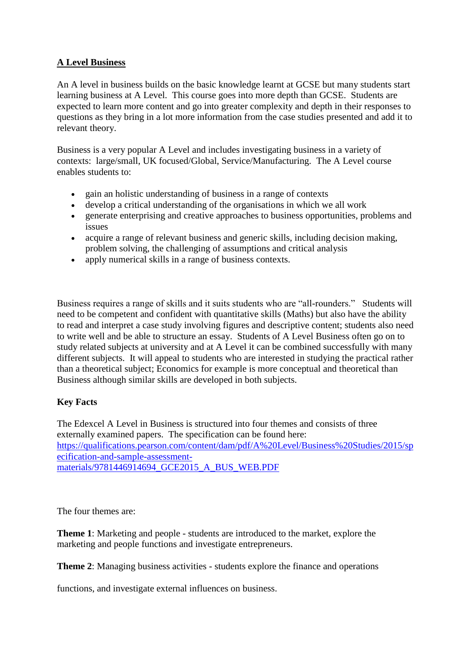## **A Level Business**

An A level in business builds on the basic knowledge learnt at GCSE but many students start learning business at A Level. This course goes into more depth than GCSE. Students are expected to learn more content and go into greater complexity and depth in their responses to questions as they bring in a lot more information from the case studies presented and add it to relevant theory.

Business is a very popular A Level and includes investigating business in a variety of contexts: large/small, UK focused/Global, Service/Manufacturing. The A Level course enables students to:

- gain an holistic understanding of business in a range of contexts
- develop a critical understanding of the organisations in which we all work
- generate enterprising and creative approaches to business opportunities, problems and issues
- acquire a range of relevant business and generic skills, including decision making, problem solving, the challenging of assumptions and critical analysis
- apply numerical skills in a range of business contexts.

Business requires a range of skills and it suits students who are "all-rounders." Students will need to be competent and confident with quantitative skills (Maths) but also have the ability to read and interpret a case study involving figures and descriptive content; students also need to write well and be able to structure an essay. Students of A Level Business often go on to study related subjects at university and at A Level it can be combined successfully with many different subjects. It will appeal to students who are interested in studying the practical rather than a theoretical subject; Economics for example is more conceptual and theoretical than Business although similar skills are developed in both subjects.

## **Key Facts**

The Edexcel A Level in Business is structured into four themes and consists of three externally examined papers. The specification can be found here: [https://qualifications.pearson.com/content/dam/pdf/A%20Level/Business%20Studies/2015/sp](https://qualifications.pearson.com/content/dam/pdf/A%20Level/Business%20Studies/2015/specification-and-sample-assessment-materials/9781446914694_GCE2015_A_BUS_WEB.PDF) [ecification-and-sample-assessment](https://qualifications.pearson.com/content/dam/pdf/A%20Level/Business%20Studies/2015/specification-and-sample-assessment-materials/9781446914694_GCE2015_A_BUS_WEB.PDF)[materials/9781446914694\\_GCE2015\\_A\\_BUS\\_WEB.PDF](https://qualifications.pearson.com/content/dam/pdf/A%20Level/Business%20Studies/2015/specification-and-sample-assessment-materials/9781446914694_GCE2015_A_BUS_WEB.PDF)

The four themes are:

**Theme 1**: Marketing and people - students are introduced to the market, explore the marketing and people functions and investigate entrepreneurs.

**Theme 2**: Managing business activities - students explore the finance and operations

functions, and investigate external influences on business.